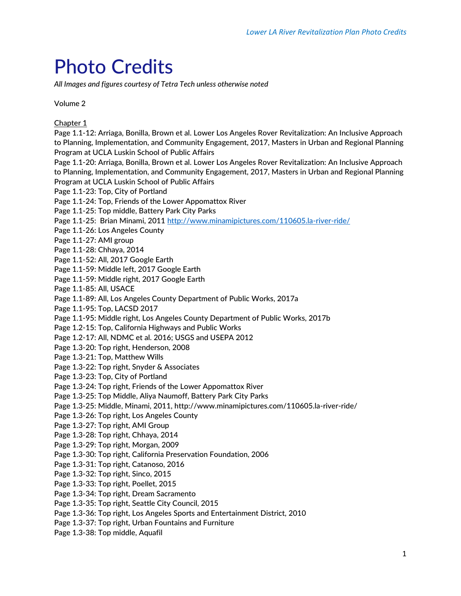## Photo Credits

*All Images and figures courtesy of Tetra Tech unless otherwise noted*

Volume 2

Chapter 1

Page 1.1-12: Arriaga, Bonilla, Brown et al. Lower Los Angeles Rover Revitalization: An Inclusive Approach to Planning, Implementation, and Community Engagement, 2017, Masters in Urban and Regional Planning Program at UCLA Luskin School of Public Affairs Page 1.1-20: Arriaga, Bonilla, Brown et al. Lower Los Angeles Rover Revitalization: An Inclusive Approach to Planning, Implementation, and Community Engagement, 2017, Masters in Urban and Regional Planning Program at UCLA Luskin School of Public Affairs Page 1.1-23: Top, City of Portland Page 1.1-24: Top, Friends of the Lower Appomattox River Page 1.1-25: Top middle, Battery Park City Parks Page 1.1-25: Brian Minami, 2011<http://www.minamipictures.com/110605.la-river-ride/> Page 1.1-26: Los Angeles County Page 1.1-27: AMI group Page 1.1-28: Chhaya, 2014 Page 1.1-52: All, 2017 Google Earth Page 1.1-59: Middle left, 2017 Google Earth Page 1.1-59: Middle right, 2017 Google Earth Page 1.1-85: All, USACE Page 1.1-89: All, Los Angeles County Department of Public Works, 2017a Page 1.1-95: Top, LACSD 2017 Page 1.1-95: Middle right, Los Angeles County Department of Public Works, 2017b Page 1.2-15: Top, California Highways and Public Works Page 1.2-17: All, NDMC et al. 2016; USGS and USEPA 2012 Page 1.3-20: Top right, Henderson, 2008 Page 1.3-21: Top, Matthew Wills Page 1.3-22: Top right, Snyder & Associates Page 1.3-23: Top, City of Portland Page 1.3-24: Top right, Friends of the Lower Appomattox River Page 1.3-25: Top Middle, Aliya Naumoff, Battery Park City Parks Page 1.3-25: Middle, Minami, 2011, http://www.minamipictures.com/110605.la-river-ride/ Page 1.3-26: Top right, Los Angeles County Page 1.3-27: Top right, AMI Group Page 1.3-28: Top right, Chhaya, 2014 Page 1.3-29: Top right, Morgan, 2009 Page 1.3-30: Top right, California Preservation Foundation, 2006 Page 1.3-31: Top right, Catanoso, 2016 Page 1.3-32: Top right, Sinco, 2015 Page 1.3-33: Top right, Poellet, 2015 Page 1.3-34: Top right, Dream Sacramento Page 1.3-35: Top right, Seattle City Council, 2015 Page 1.3-36: Top right, Los Angeles Sports and Entertainment District, 2010 Page 1.3-37: Top right, Urban Fountains and Furniture Page 1.3-38: Top middle, Aquafil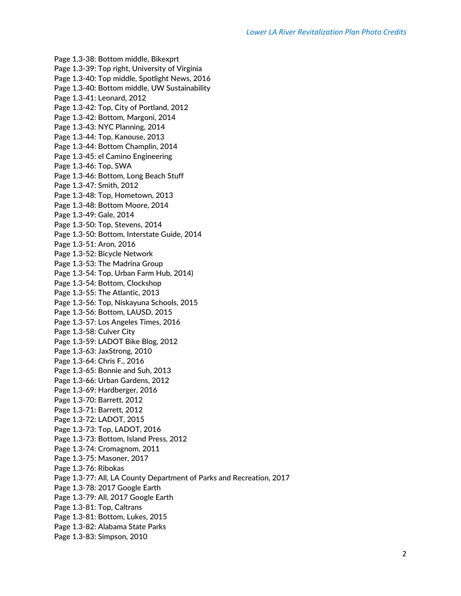Page 1.3-38: Bottom middle, Bikexprt Page 1.3-39: Top right, University of Virginia Page 1.3-40: Top middle, Spotlight News, 2016 Page 1.3-40: Bottom middle, UW Sustainability Page 1.3-41: Leonard, 2012 Page 1.3-42: Top, City of Portland, 2012 Page 1.3-42: Bottom, Margoni, 2014 Page 1.3-43: NYC Planning, 2014 Page 1.3-44: Top, Kanouse, 2013 Page 1.3-44: Bottom Champlin, 2014 Page 1.3-45: el Camino Engineering Page 1.3-46: Top, SWA Page 1.3-46: Bottom, Long Beach Stuff Page 1.3-47: Smith, 2012 Page 1.3-48: Top, Hometown, 2013 Page 1.3-48: Bottom Moore, 2014 Page 1.3-49: Gale, 2014 Page 1.3-50: Top, Stevens, 2014 Page 1.3-50: Bottom, Interstate Guide, 2014 Page 1.3-51: Aron, 2016 Page 1.3-52: Bicycle Network Page 1.3-53: The Madrina Group Page 1.3-54: Top, Urban Farm Hub, 2014) Page 1.3-54: Bottom, Clockshop Page 1.3-55: The Atlantic, 2013 Page 1.3-56: Top, Niskayuna Schools, 2015 Page 1.3-56: Bottom, LAUSD, 2015 Page 1.3-57: Los Angeles Times, 2016 Page 1.3-58: Culver City Page 1.3-59: LADOT Bike Blog, 2012 Page 1.3-63: JaxStrong, 2010 Page 1.3-64: Chris F., 2016 Page 1.3-65: Bonnie and Suh, 2013 Page 1.3-66: Urban Gardens, 2012 Page 1.3-69: Hardberger, 2016 Page 1.3-70: Barrett, 2012 Page 1.3-71: Barrett, 2012 Page 1.3-72: LADOT, 2015 Page 1.3-73: Top, LADOT, 2016 Page 1.3-73: Bottom, Island Press, 2012 Page 1.3-74: Cromagnom, 2011 Page 1.3-75: Masoner, 2017 Page 1.3-76: Ribokas Page 1.3-77: All, LA County Department of Parks and Recreation, 2017 Page 1.3-78: 2017 Google Earth Page 1.3-79: All, 2017 Google Earth Page 1.3-81: Top, Caltrans Page 1.3-81: Bottom, Lukes, 2015 Page 1.3-82: Alabama State Parks Page 1.3-83: Simpson, 2010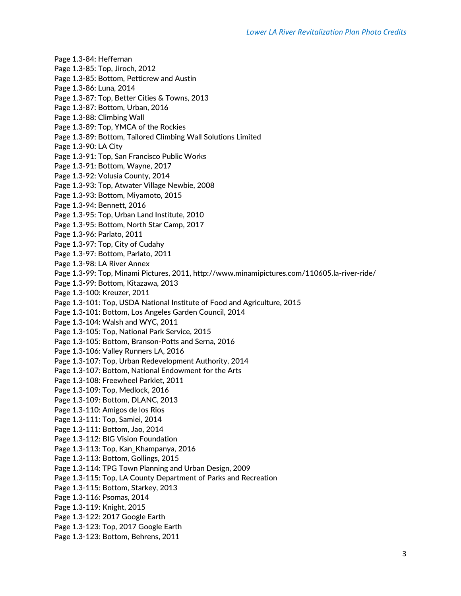Page 1.3-84: Heffernan Page 1.3-85: Top, Jiroch, 2012 Page 1.3-85: Bottom, Petticrew and Austin Page 1.3-86: Luna, 2014 Page 1.3-87: Top, Better Cities & Towns, 2013 Page 1.3-87: Bottom, Urban, 2016 Page 1.3-88: Climbing Wall Page 1.3-89: Top, YMCA of the Rockies Page 1.3-89: Bottom, Tailored Climbing Wall Solutions Limited Page 1.3-90: LA City Page 1.3-91: Top, San Francisco Public Works Page 1.3-91: Bottom, Wayne, 2017 Page 1.3-92: Volusia County, 2014 Page 1.3-93: Top, Atwater Village Newbie, 2008 Page 1.3-93: Bottom, Miyamoto, 2015 Page 1.3-94: Bennett, 2016 Page 1.3-95: Top, Urban Land Institute, 2010 Page 1.3-95: Bottom, North Star Camp, 2017 Page 1.3-96: Parlato, 2011 Page 1.3-97: Top, City of Cudahy Page 1.3-97: Bottom, Parlato, 2011 Page 1.3-98: LA River Annex Page 1.3-99: Top, Minami Pictures, 2011, http://www.minamipictures.com/110605.la-river-ride/ Page 1.3-99: Bottom, Kitazawa, 2013 Page 1.3-100: Kreuzer, 2011 Page 1.3-101: Top, USDA National Institute of Food and Agriculture, 2015 Page 1.3-101: Bottom, Los Angeles Garden Council, 2014 Page 1.3-104: Walsh and WYC, 2011 Page 1.3-105: Top, National Park Service, 2015 Page 1.3-105: Bottom, Branson-Potts and Serna, 2016 Page 1.3-106: Valley Runners LA, 2016 Page 1.3-107: Top, Urban Redevelopment Authority, 2014 Page 1.3-107: Bottom, National Endowment for the Arts Page 1.3-108: Freewheel Parklet, 2011 Page 1.3-109: Top, Medlock, 2016 Page 1.3-109: Bottom, DLANC, 2013 Page 1.3-110: Amigos de los Rios Page 1.3-111: Top, Samiei, 2014 Page 1.3-111: Bottom, Jao, 2014 Page 1.3-112: BIG Vision Foundation Page 1.3-113: Top, Kan\_Khampanya, 2016 Page 1.3-113: Bottom, Gollings, 2015 Page 1.3-114: TPG Town Planning and Urban Design, 2009 Page 1.3-115: Top, LA County Department of Parks and Recreation Page 1.3-115: Bottom, Starkey, 2013 Page 1.3-116: Psomas, 2014 Page 1.3-119: Knight, 2015 Page 1.3-122: 2017 Google Earth Page 1.3-123: Top, 2017 Google Earth Page 1.3-123: Bottom, Behrens, 2011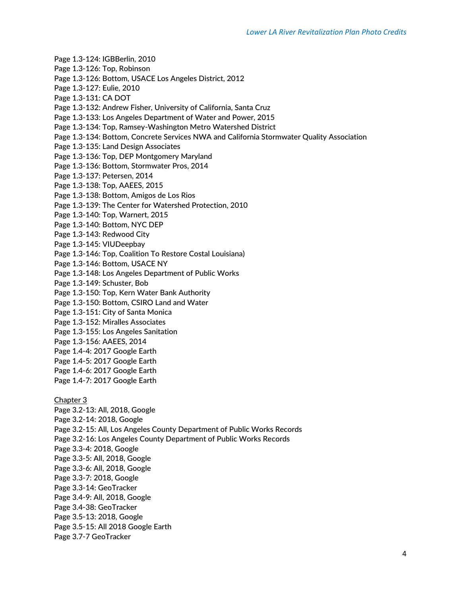- Page 1.3-124: IGBBerlin, 2010
- Page 1.3-126: Top, Robinson
- Page 1.3-126: Bottom, USACE Los Angeles District, 2012
- Page 1.3-127: Eulie, 2010
- Page 1.3-131: CA DOT
- Page 1.3-132: Andrew Fisher, University of California, Santa Cruz
- Page 1.3-133: Los Angeles Department of Water and Power, 2015
- Page 1.3-134: Top, Ramsey-Washington Metro Watershed District
- Page 1.3-134: Bottom, Concrete Services NWA and California Stormwater Quality Association
- Page 1.3-135: Land Design Associates
- Page 1.3-136: Top, DEP Montgomery Maryland
- Page 1.3-136: Bottom, Stormwater Pros, 2014
- Page 1.3-137: Petersen, 2014
- Page 1.3-138: Top, AAEES, 2015
- Page 1.3-138: Bottom, Amigos de Los Rios
- Page 1.3-139: The Center for Watershed Protection, 2010
- Page 1.3-140: Top, Warnert, 2015
- Page 1.3-140: Bottom, NYC DEP
- Page 1.3-143: Redwood City
- Page 1.3-145: VIUDeepbay
- Page 1.3-146: Top, Coalition To Restore Costal Louisiana)
- Page 1.3-146: Bottom, USACE NY
- Page 1.3-148: Los Angeles Department of Public Works
- Page 1.3-149: Schuster, Bob
- Page 1.3-150: Top, Kern Water Bank Authority
- Page 1.3-150: Bottom, CSIRO Land and Water
- Page 1.3-151: City of Santa Monica
- Page 1.3-152: Miralles Associates
- Page 1.3-155: Los Angeles Sanitation
- Page 1.3-156: AAEES, 2014
- Page 1.4-4: 2017 Google Earth
- Page 1.4-5: 2017 Google Earth
- Page 1.4-6: 2017 Google Earth
- Page 1.4-7: 2017 Google Earth
- Chapter 3
- Page 3.2-13: All, 2018, Google Page 3.2-14: 2018, Google Page 3.2-15: All, Los Angeles County Department of Public Works Records Page 3.2-16: Los Angeles County Department of Public Works Records Page 3.3-4: 2018, Google Page 3.3-5: All, 2018, Google Page 3.3-6: All, 2018, Google Page 3.3-7: 2018, Google Page 3.3-14: GeoTracker Page 3.4-9: All, 2018, Google Page 3.4-38: GeoTracker Page 3.5-13: 2018, Google Page 3.5-15: All 2018 Google Earth Page 3.7-7 GeoTracker